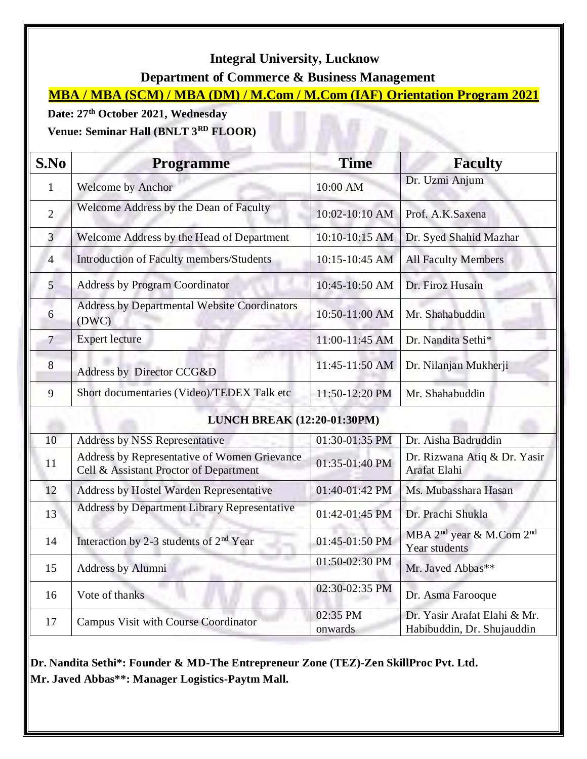## **Integral University, Lucknow**

 **Department of Commerce & Business Management**

**MBA / MBA (SCM) / MBA (DM) / M.Com / M.Com (IAF) Orientation Program 2021**

 $\overline{B}$ 

**Date: 27th October 2021, Wednesday** 

**Venue: Seminar Hall (BNLT 3RD FLOOR)**

| S.No                               | <b>Programme</b>                                                                       | <b>Time</b>         | <b>Faculty</b>                                                    |  |  |
|------------------------------------|----------------------------------------------------------------------------------------|---------------------|-------------------------------------------------------------------|--|--|
| $\mathbf{1}$                       | <b>Welcome by Anchor</b>                                                               | 10:00 AM            | Dr. Uzmi Anjum                                                    |  |  |
| $\overline{2}$                     | Welcome Address by the Dean of Faculty                                                 | 10:02-10:10 AM      | Prof. A.K.Saxena                                                  |  |  |
| 3                                  | Welcome Address by the Head of Department                                              | 10:10-10:15 AM      | Dr. Syed Shahid Mazhar                                            |  |  |
| $\overline{4}$                     | Introduction of Faculty members/Students                                               | 10:15-10:45 AM      | <b>All Faculty Members</b>                                        |  |  |
| 5                                  | <b>Address by Program Coordinator</b>                                                  | 10:45-10:50 AM      | Dr. Firoz Husain                                                  |  |  |
| 6                                  | Address by Departmental Website Coordinators<br>(DWC)                                  | 10:50-11:00 AM      | Mr. Shahabuddin                                                   |  |  |
| $\overline{7}$                     | <b>Expert lecture</b>                                                                  | 11:00-11:45 AM      | Dr. Nandita Sethi*                                                |  |  |
| 8                                  | Address by Director CCG&D                                                              | 11:45-11:50 AM      | Dr. Nilanjan Mukherji                                             |  |  |
| 9                                  | Short documentaries (Video)/TEDEX Talk etc                                             | 11:50-12:20 PM      | Mr. Shahabuddin                                                   |  |  |
| <b>LUNCH BREAK (12:20-01:30PM)</b> |                                                                                        |                     |                                                                   |  |  |
| 10                                 | <b>Address by NSS Representative</b>                                                   | 01:30-01:35 PM      | Dr. Aisha Badruddin                                               |  |  |
| 11                                 | Address by Representative of Women Grievance<br>Cell & Assistant Proctor of Department | 01:35-01:40 PM      | Dr. Rizwana Atiq & Dr. Yasir<br>Arafat Elahi                      |  |  |
| 12                                 | Address by Hostel Warden Representative                                                | 01:40-01:42 PM      | Ms. Mubasshara Hasan                                              |  |  |
| 13                                 | <b>Address by Department Library Representative</b>                                    | 01:42-01:45 PM      | Dr. Prachi Shukla                                                 |  |  |
| 14                                 | Interaction by 2-3 students of $2nd$ Year                                              | 01:45-01:50 PM      | MBA 2 <sup>nd</sup> year & M.Com 2 <sup>nd</sup><br>Year students |  |  |
| 15                                 | <b>Address by Alumni</b>                                                               | 01:50-02:30 PM      | Mr. Javed Abbas**                                                 |  |  |
| 16                                 | Vote of thanks                                                                         | 02:30-02:35 PM      | Dr. Asma Farooque                                                 |  |  |
| 17                                 | <b>Campus Visit with Course Coordinator</b>                                            | 02:35 PM<br>onwards | Dr. Yasir Arafat Elahi & Mr.<br>Habibuddin, Dr. Shujauddin        |  |  |

**Dr. Nandita Sethi\*: Founder & MD-The Entrepreneur Zone (TEZ)-Zen SkillProc Pvt. Ltd. Mr. Javed Abbas\*\*: Manager Logistics-Paytm Mall.**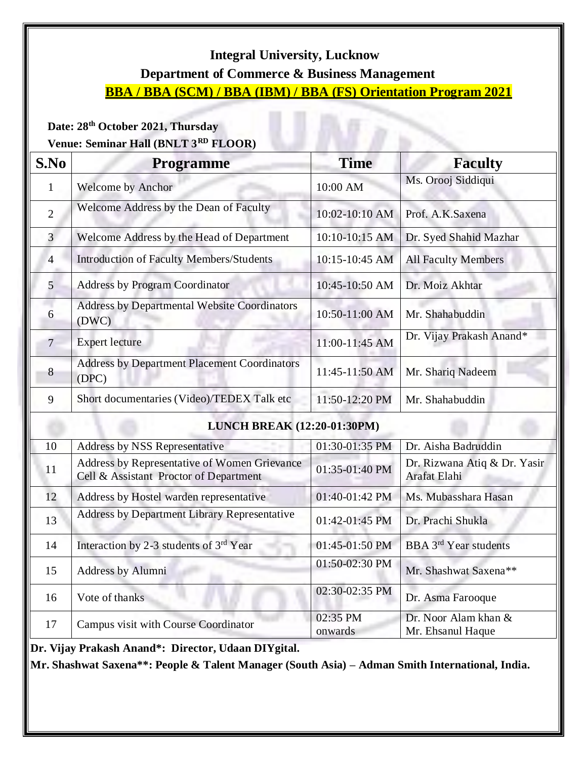## **Integral University, Lucknow**

## **Department of Commerce & Business Management**

# **BBA / BBA (SCM) / BBA (IBM) / BBA (FS) Orientation Program 2021**

rБ

#### **Date: 28 th October 2021, Thursday**

## **Venue: Seminar Hall (BNLT 3RD FLOOR)**

| <b>Welcome by Anchor</b><br>Welcome Address by the Dean of Faculty<br>Welcome Address by the Head of Department<br><b>Introduction of Faculty Members/Students</b> | 10:00 AM<br>10:02-10:10 AM<br>10:10-10:15 AM | Ms. Orooj Siddiqui<br>Prof. A.K.Saxena<br>Dr. Syed Shahid Mazhar |  |  |  |
|--------------------------------------------------------------------------------------------------------------------------------------------------------------------|----------------------------------------------|------------------------------------------------------------------|--|--|--|
|                                                                                                                                                                    |                                              |                                                                  |  |  |  |
|                                                                                                                                                                    |                                              |                                                                  |  |  |  |
|                                                                                                                                                                    |                                              |                                                                  |  |  |  |
|                                                                                                                                                                    | 10:15-10:45 AM                               | <b>All Faculty Members</b>                                       |  |  |  |
| <b>Address by Program Coordinator</b>                                                                                                                              | 10:45-10:50 AM                               | Dr. Moiz Akhtar                                                  |  |  |  |
| <b>Address by Departmental Website Coordinators</b>                                                                                                                | 10:50-11:00 AM                               | Mr. Shahabuddin                                                  |  |  |  |
|                                                                                                                                                                    | 11:00-11:45 AM                               | Dr. Vijay Prakash Anand*                                         |  |  |  |
| Address by Department Placement Coordinators                                                                                                                       | 11:45-11:50 AM                               | Mr. Shariq Nadeem                                                |  |  |  |
| Short documentaries (Video)/TEDEX Talk etc                                                                                                                         | 11:50-12:20 PM                               | Mr. Shahabuddin                                                  |  |  |  |
| <b>LUNCH BREAK (12:20-01:30PM)</b>                                                                                                                                 |                                              |                                                                  |  |  |  |
| Address by NSS Representative                                                                                                                                      | 01:30-01:35 PM                               | Dr. Aisha Badruddin                                              |  |  |  |
| Address by Representative of Women Grievance<br>Cell & Assistant Proctor of Department                                                                             | 01:35-01:40 PM                               | Dr. Rizwana Atiq & Dr. Yasir<br>Arafat Elahi                     |  |  |  |
| Address by Hostel warden representative                                                                                                                            | 01:40-01:42 PM                               | Ms. Mubasshara Hasan                                             |  |  |  |
| <b>Address by Department Library Representative</b>                                                                                                                | 01:42-01:45 PM                               | Dr. Prachi Shukla                                                |  |  |  |
| Interaction by 2-3 students of 3rd Year                                                                                                                            | 01:45-01:50 PM                               | <b>BBA</b> 3 <sup>rd</sup> Year students                         |  |  |  |
| Address by Alumni                                                                                                                                                  | 01:50-02:30 PM                               | Mr. Shashwat Saxena**                                            |  |  |  |
|                                                                                                                                                                    | 02:30-02:35 PM                               | Dr. Asma Farooque                                                |  |  |  |
|                                                                                                                                                                    |                                              |                                                                  |  |  |  |
|                                                                                                                                                                    |                                              |                                                                  |  |  |  |

**Mr. Shashwat Saxena\*\*: People & Talent Manager (South Asia) – Adman Smith International, India.**